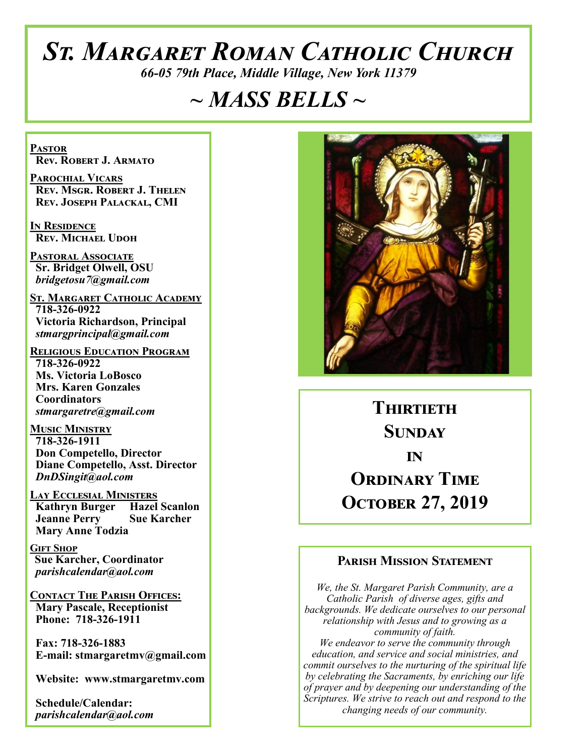# *St. Margaret Roman Catholic Church*

*66-05 79th Place, Middle Village, New York 11379*

# *~ MASS BELLS ~*

**Pastor Rev. Robert J. Armato**

**Parochial Vicars Rev. Msgr. Robert J. Thelen Rev. Joseph Palackal, CMI**

**In Residence Rev. Michael Udoh**

**Pastoral Associate Sr. Bridget Olwell, OSU**  *bridgetosu7@gmail.com*

**St. Margaret Catholic Academy 718-326-0922 Victoria Richardson, Principal**  *stmargprincipal@gmail.com*

**Religious Education Program 718-326-0922 Ms. Victoria LoBosco Mrs. Karen Gonzales Coordinators** *stmargaretre@gmail.com*

**Music Ministry 718-326-1911 Don Competello, Director Diane Competello, Asst. Director** *DnDSingit@aol.com*

**Lay Ecclesial Ministers Kathryn Burger Hazel Scanlon Jeanne Perry Sue Karcher Mary Anne Todzia**

**Gift Shop Sue Karcher, Coordinator** *parishcalendar@aol.com*

**Contact The Parish Offices: Mary Pascale, Receptionist Phone: 718-326-1911** 

 **Fax: 718-326-1883 E-mail: stmargaretmv@gmail.com**

 **Website: www.stmargaretmv.com**

 **Schedule/Calendar:** *parishcalendar@aol.com* 



**Thirtieth Sunday in ORDINARY TIME October 27, 2019** 

#### **Parish Mission Statement**

*We, the St. Margaret Parish Community, are a Catholic Parish of diverse ages, gifts and backgrounds. We dedicate ourselves to our personal relationship with Jesus and to growing as a community of faith. We endeavor to serve the community through education, and service and social ministries, and commit ourselves to the nurturing of the spiritual life by celebrating the Sacraments, by enriching our life of prayer and by deepening our understanding of the Scriptures. We strive to reach out and respond to the changing needs of our community.*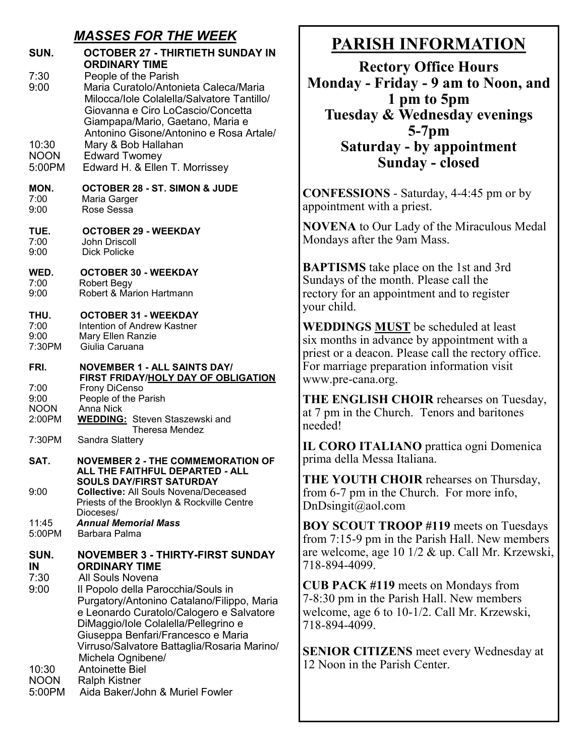#### *MASSES FOR THE WEEK*

| SUN.                                          | OCTOBER 27 - THIRTIETH SUNDAY IN<br><b>ORDINARY TIME</b>                                                                                                                                                                                                                                                                                                              |
|-----------------------------------------------|-----------------------------------------------------------------------------------------------------------------------------------------------------------------------------------------------------------------------------------------------------------------------------------------------------------------------------------------------------------------------|
| 7:30<br>9:00                                  | People of the Parish<br>Maria Curatolo/Antonieta Caleca/Maria<br>Milocca/Iole Colalella/Salvatore Tantillo/<br>Giovanna e Ciro LoCascio/Concetta<br>Giampapa/Mario, Gaetano, Maria e<br>Antonino Gisone/Antonino e Rosa Artale/                                                                                                                                       |
| 10:30                                         | Mary & Bob Hallahan                                                                                                                                                                                                                                                                                                                                                   |
| <b>NOON</b>                                   | <b>Edward Twomey</b>                                                                                                                                                                                                                                                                                                                                                  |
| 5:00PM                                        | Edward H. & Ellen T. Morrissey                                                                                                                                                                                                                                                                                                                                        |
| MON.                                          | <b>OCTOBER 28 - ST. SIMON &amp; JUDE</b>                                                                                                                                                                                                                                                                                                                              |
| 7:00                                          | Maria Garger                                                                                                                                                                                                                                                                                                                                                          |
| 9:00                                          | Rose Sessa                                                                                                                                                                                                                                                                                                                                                            |
| TUE.                                          | <b>OCTOBER 29 - WEEKDAY</b>                                                                                                                                                                                                                                                                                                                                           |
| 7:00                                          | John Driscoll                                                                                                                                                                                                                                                                                                                                                         |
| 9:00                                          | Dick Policke                                                                                                                                                                                                                                                                                                                                                          |
| WED.                                          | <b>OCTOBER 30 - WEEKDAY</b>                                                                                                                                                                                                                                                                                                                                           |
| 7:00                                          | <b>Robert Begy</b>                                                                                                                                                                                                                                                                                                                                                    |
| 9:00                                          | Robert & Marion Hartmann                                                                                                                                                                                                                                                                                                                                              |
| THU.                                          | <b>OCTOBER 31 - WEEKDAY</b>                                                                                                                                                                                                                                                                                                                                           |
| 7:00                                          | Intention of Andrew Kastner                                                                                                                                                                                                                                                                                                                                           |
| 9:00                                          | Mary Ellen Ranzie                                                                                                                                                                                                                                                                                                                                                     |
| 7:30PM                                        | Giulia Caruana                                                                                                                                                                                                                                                                                                                                                        |
| FRI.<br>7:00<br>9:00<br><b>NOON</b><br>2:00PM | <b>NOVEMBER 1 - ALL SAINTS DAY/</b><br>FIRST FRIDAY/HOLY DAY OF OBLIGATION<br><b>Frony DiCenso</b><br>People of the Parish<br><b>Anna Nick</b><br><b>WEDDING:</b> Steven Staszewski and<br>Theresa Mendez                                                                                                                                                             |
| 7:30PM                                        | Sandra Slattery                                                                                                                                                                                                                                                                                                                                                       |
| SAT.<br>9:00                                  | <b>NOVEMBER 2 - THE COMMEMORATION OF</b><br>ALL THE FAITHFUL DEPARTED - ALL<br><b>SOULS DAY/FIRST SATURDAY</b><br><b>Collective: All Souls Novena/Deceased</b><br>Priests of the Brooklyn & Rockville Centre<br>Dioceses/                                                                                                                                             |
| 11:45                                         | <b>Annual Memorial Mass</b>                                                                                                                                                                                                                                                                                                                                           |
| 5:00PM                                        | Barbara Palma                                                                                                                                                                                                                                                                                                                                                         |
| SUN.<br>IN<br>7:30<br>9:00                    | <b>NOVEMBER 3 - THIRTY-FIRST SUNDAY</b><br><b>ORDINARY TIME</b><br>All Souls Novena<br>Il Popolo della Parocchia/Souls in<br>Purgatory/Antonino Catalano/Filippo, Maria<br>e Leonardo Curatolo/Calogero e Salvatore<br>DiMaggio/Iole Colalella/Pellegrino e<br>Giuseppa Benfari/Francesco e Maria<br>Virruso/Salvatore Battaglia/Rosaria Marino/<br>Michela Ognibene/ |
| 10:30                                         | <b>Antoinette Biel</b>                                                                                                                                                                                                                                                                                                                                                |
| <b>NOON</b>                                   | <b>Ralph Kistner</b>                                                                                                                                                                                                                                                                                                                                                  |
| 5:00PM                                        | Aida Baker/John & Muriel Fowler                                                                                                                                                                                                                                                                                                                                       |

# **PARISH INFORMATION**

**Rectory Office Hours Monday - Friday - 9 am to Noon, and 1 pm to 5pm Tuesday & Wednesday evenings 5-7pm Saturday - by appointment Sunday - closed**

**CONFESSIONS** - Saturday, 4-4:45 pm or by appointment with a priest.

**NOVENA** to Our Lady of the Miraculous Medal Mondays after the 9am Mass.

**BAPTISMS** take place on the 1st and 3rd Sundays of the month. Please call the rectory for an appointment and to register your child.

**WEDDINGS MUST** be scheduled at least six months in advance by appointment with a priest or a deacon. Please call the rectory office. For marriage preparation information visit www.pre-cana.org.

**THE ENGLISH CHOIR** rehearses on Tuesday, at 7 pm in the Church. Tenors and baritones needed!

**IL CORO ITALIANO** prattica ogni Domenica prima della Messa Italiana.

**THE YOUTH CHOIR** rehearses on Thursday, from 6-7 pm in the Church. For more info, DnDsingit@aol.com

**BOY SCOUT TROOP #119** meets on Tuesdays from 7:15-9 pm in the Parish Hall. New members are welcome, age 10 1/2 & up. Call Mr. Krzewski, 718-894-4099.

**CUB PACK #119** meets on Mondays from 7-8:30 pm in the Parish Hall. New members welcome, age 6 to 10-1/2. Call Mr. Krzewski, 718-894-4099.

**SENIOR CITIZENS** meet every Wednesday at 12 Noon in the Parish Center.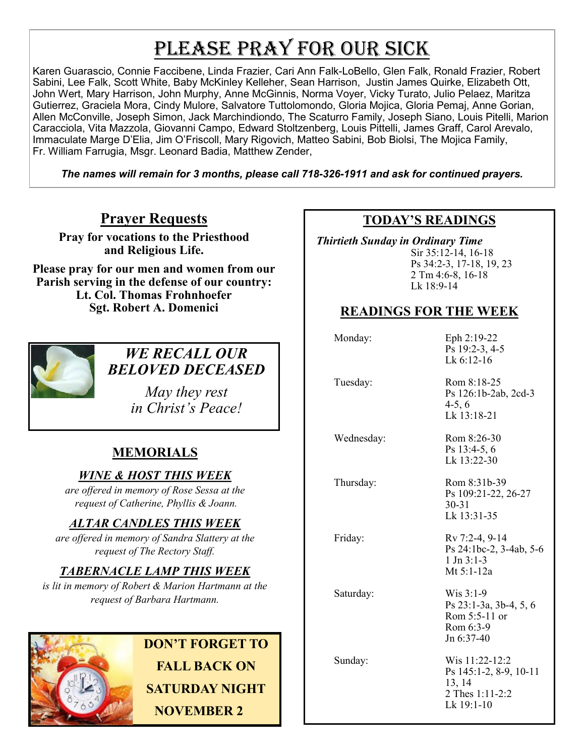# PLEASE PRAY FOR OUR SICK

Karen Guarascio, Connie Faccibene, Linda Frazier, Cari Ann Falk-LoBello, Glen Falk, Ronald Frazier, Robert Sabini, Lee Falk, Scott White, Baby McKinley Kelleher, Sean Harrison, Justin James Quirke, Elizabeth Ott, John Wert, Mary Harrison, John Murphy, Anne McGinnis, Norma Voyer, Vicky Turato, Julio Pelaez, Maritza Gutierrez, Graciela Mora, Cindy Mulore, Salvatore Tuttolomondo, Gloria Mojica, Gloria Pemaj, Anne Gorian, Allen McConville, Joseph Simon, Jack Marchindiondo, The Scaturro Family, Joseph Siano, Louis Pitelli, Marion Caracciola, Vita Mazzola, Giovanni Campo, Edward Stoltzenberg, Louis Pittelli, James Graff, Carol Arevalo, Immaculate Marge D'Elia, Jim O'Friscoll, Mary Rigovich, Matteo Sabini, Bob Biolsi, The Mojica Family, Fr. William Farrugia, Msgr. Leonard Badia, Matthew Zender,

*The names will remain for 3 months, please call 718-326-1911 and ask for continued prayers.*

## **Prayer Requests**

**Pray for vocations to the Priesthood and Religious Life.** 

**Please pray for our men and women from our Parish serving in the defense of our country: Lt. Col. Thomas Frohnhoefer Sgt. Robert A. Domenici** 



#### *WE RECALL OUR BELOVED DECEASED*

*May they rest in Christ's Peace!*

## **MEMORIALS**

#### *WINE & HOST THIS WEEK*

*are offered in memory of Rose Sessa at the request of Catherine, Phyllis & Joann.* 

## *ALTAR CANDLES THIS WEEK*

*are offered in memory of Sandra Slattery at the request of The Rectory Staff.*

## *TABERNACLE LAMP THIS WEEK*

*is lit in memory of Robert & Marion Hartmann at the request of Barbara Hartmann.* 



**DON'T FORGET TO FALL BACK ON SATURDAY NIGHT NOVEMBER 2**

#### **TODAY'S READINGS**

 *Thirtieth Sunday in Ordinary Time*  Sir 35:12-14, 16-18 Ps 34:2-3, 17-18, 19, 23 2 Tm 4:6-8, 16-18 Lk 18:9-14

#### **READINGS FOR THE WEEK**

| Monday:    | Eph 2:19-22<br>Ps 19:2-3, 4-5<br>Lk $6:12-16$                                       |
|------------|-------------------------------------------------------------------------------------|
| Tuesday:   | Rom 8:18-25<br>Ps 126:1b-2ab, 2cd-3<br>$4-5, 6$<br>Lk 13:18-21                      |
| Wednesday: | Rom 8:26-30<br>Ps 13:4-5, 6<br>Lk 13:22-30                                          |
| Thursday:  | Rom 8:31b-39<br>Ps 109:21-22, 26-27<br>$30 - 31$<br>Lk 13:31-35                     |
| Friday:    | Rv 7:2-4, 9-14<br>Ps 24:1bc-2, 3-4ab, 5-6<br>$1 \text{ Jn } 3:1-3$<br>Mt 5:1-12a    |
| Saturday:  | Wis 3:1-9<br>Ps 23:1-3a, 3b-4, 5, 6<br>Rom 5:5-11 or<br>Rom 6:3-9<br>Jn 6:37-40     |
| Sunday:    | Wis 11:22-12:2<br>Ps 145:1-2, 8-9, 10-11<br>13, 14<br>2 Thes 1:11-2:2<br>Lk 19:1-10 |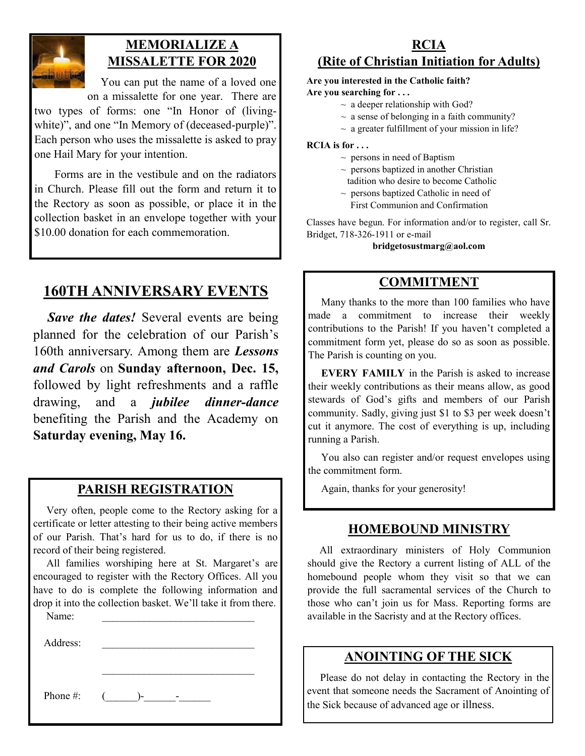

#### **MEMORIALIZE A MISSALETTE FOR 2020**

 You can put the name of a loved one on a missalette for one year. There are

two types of forms: one "In Honor of (livingwhite)", and one "In Memory of (deceased-purple)". Each person who uses the missalette is asked to pray one Hail Mary for your intention.

 Forms are in the vestibule and on the radiators in Church. Please fill out the form and return it to the Rectory as soon as possible, or place it in the collection basket in an envelope together with your \$10.00 donation for each commemoration.

# **160TH ANNIVERSARY EVENTS**

*Save the dates!* Several events are being planned for the celebration of our Parish's 160th anniversary. Among them are *Lessons and Carols* on **Sunday afternoon, Dec. 15,**  followed by light refreshments and a raffle drawing, and a *jubilee dinner-dance*  benefiting the Parish and the Academy on **Saturday evening, May 16.** 

#### **PARISH REGISTRATION**

 Very often, people come to the Rectory asking for a certificate or letter attesting to their being active members of our Parish. That's hard for us to do, if there is no record of their being registered.

 All families worshiping here at St. Margaret's are encouraged to register with the Rectory Offices. All you have to do is complete the following information and drop it into the collection basket. We'll take it from there.

Name:

Address:

Phone #:  $($   $)$ -  $-$ 

#### **RCIA (Rite of Christian Initiation for Adults)**

# **Are you interested in the Catholic faith?**

**Are you searching for . . .**

- $\sim$  a deeper relationship with God?
- $\sim$  a sense of belonging in a faith community?
- $\sim$  a greater fulfillment of your mission in life?

**RCIA is for . . .**

- $\sim$  persons in need of Baptism
- $\sim$  persons baptized in another Christian tadition who desire to become Catholic
- $\sim$  persons baptized Catholic in need of First Communion and Confirmation

Classes have begun. For information and/or to register, call Sr. Bridget, 718-326-1911 or e-mail

**bridgetosustmarg@aol.com** 

#### **COMMITMENT**

 Many thanks to the more than 100 families who have made a commitment to increase their weekly contributions to the Parish! If you haven't completed a commitment form yet, please do so as soon as possible. The Parish is counting on you.

 **EVERY FAMILY** in the Parish is asked to increase their weekly contributions as their means allow, as good stewards of God's gifts and members of our Parish community. Sadly, giving just \$1 to \$3 per week doesn't cut it anymore. The cost of everything is up, including running a Parish.

 You also can register and/or request envelopes using the commitment form.

Again, thanks for your generosity!

#### **HOMEBOUND MINISTRY**

 All extraordinary ministers of Holy Communion should give the Rectory a current listing of ALL of the homebound people whom they visit so that we can provide the full sacramental services of the Church to those who can't join us for Mass. Reporting forms are available in the Sacristy and at the Rectory offices.

#### **ANOINTING OF THE SICK**

 Please do not delay in contacting the Rectory in the event that someone needs the Sacrament of Anointing of the Sick because of advanced age or illness.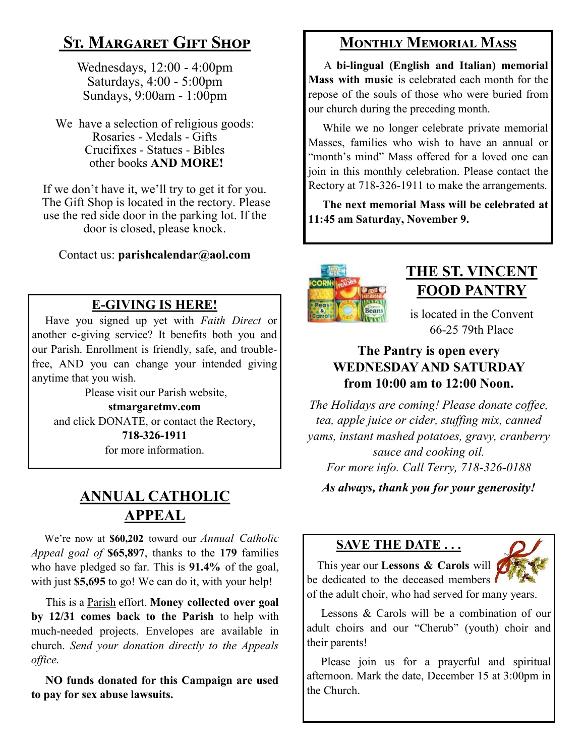# **St. Margaret Gift Shop**

Wednesdays, 12:00 - 4:00pm Saturdays, 4:00 - 5:00pm Sundays, 9:00am - 1:00pm

We have a selection of religious goods: Rosaries - Medals - Gifts Crucifixes - Statues - Bibles other books **AND MORE!**

If we don't have it, we'll try to get it for you. The Gift Shop is located in the rectory. Please use the red side door in the parking lot. If the door is closed, please knock.

Contact us: **parishcalendar@aol.com**

## **E-GIVING IS HERE!**

 Have you signed up yet with *Faith Direct* or another e-giving service? It benefits both you and our Parish. Enrollment is friendly, safe, and troublefree, AND you can change your intended giving anytime that you wish.

Please visit our Parish website, **stmargaretmv.com** and click DONATE, or contact the Rectory, **718-326-1911** for more information.

# **ANNUAL CATHOLIC APPEAL**

 We're now at **\$60,202** toward our *Annual Catholic Appeal goal of* **\$65,897**, thanks to the **179** families who have pledged so far. This is **91.4%** of the goal, with just **\$5,695** to go! We can do it, with your help!

 This is a Parish effort. **Money collected over goal by 12/31 comes back to the Parish** to help with much-needed projects. Envelopes are available in church. *Send your donation directly to the Appeals office.*

 **NO funds donated for this Campaign are used to pay for sex abuse lawsuits.** 

# **Monthly Memorial Mass**

 A **bi-lingual (English and Italian) memorial Mass with music** is celebrated each month for the repose of the souls of those who were buried from our church during the preceding month.

 While we no longer celebrate private memorial Masses, families who wish to have an annual or "month's mind" Mass offered for a loved one can join in this monthly celebration. Please contact the Rectory at 718-326-1911 to make the arrangements.

 **The next memorial Mass will be celebrated at 11:45 am Saturday, November 9.** 



# **THE ST. VINCENT FOOD PANTRY**

is located in the Convent 66-25 79th Place

#### **The Pantry is open every WEDNESDAY AND SATURDAY from 10:00 am to 12:00 Noon.**

*The Holidays are coming! Please donate coffee, tea, apple juice or cider, stuffing mix, canned yams, instant mashed potatoes, gravy, cranberry sauce and cooking oil. For more info. Call Terry, 718-326-0188*

*As always, thank you for your generosity!*

#### **SAVE THE DATE . . .**



 This year our **Lessons & Carols** will be dedicated to the deceased members of the adult choir, who had served for many years.

 Lessons & Carols will be a combination of our adult choirs and our "Cherub" (youth) choir and their parents!

 Please join us for a prayerful and spiritual afternoon. Mark the date, December 15 at 3:00pm in the Church.